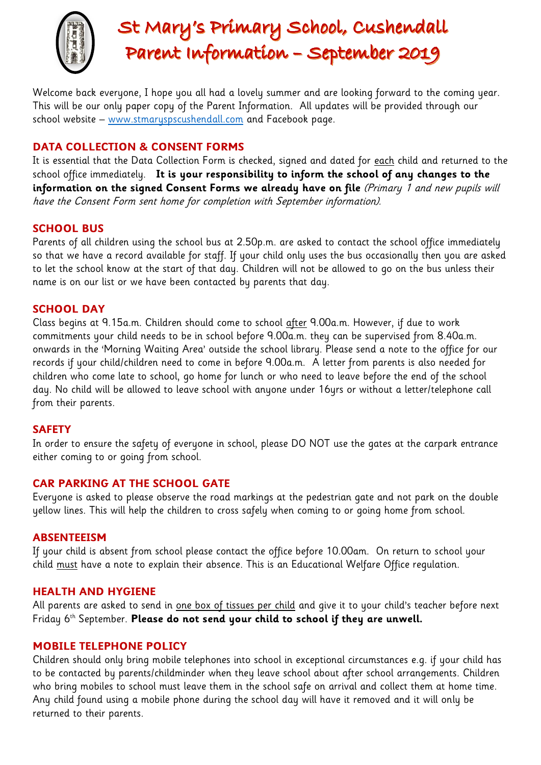

# St Mary's Primary School, Cushendall Parent Information - September 2019

Welcome back everyone, I hope you all had a lovely summer and are looking forward to the coming year. This will be our only paper copy of the Parent Information. All updates will be provided through our school website – [www.stmaryspscushendall.com](http://www.stmaryspscushendall.com/) and Facebook page.

# **DATA COLLECTION & CONSENT FORMS**

It is essential that the Data Collection Form is checked, signed and dated for each child and returned to the school office immediately. **It is your responsibility to inform the school of any changes to the information on the signed Consent Forms we already have on file** (Primary 1 and new pupils will have the Consent Form sent home for completion with September information).

# **SCHOOL BUS**

Parents of all children using the school bus at 2.50p.m. are asked to contact the school office immediately so that we have a record available for staff. If your child only uses the bus occasionally then you are asked to let the school know at the start of that day. Children will not be allowed to go on the bus unless their name is on our list or we have been contacted by parents that day.

# **SCHOOL DAY**

Class begins at 9.15a.m. Children should come to school after 9.00a.m. However, if due to work commitments your child needs to be in school before 9.00a.m. they can be supervised from 8.40a.m. onwards in the 'Morning Waiting Area' outside the school library. Please send a note to the office for our records if your child/children need to come in before 9.00a.m. A letter from parents is also needed for children who come late to school, go home for lunch or who need to leave before the end of the school day. No child will be allowed to leave school with anyone under 16yrs or without a letter/telephone call from their parents.

# **SAFETY**

In order to ensure the safety of everyone in school, please DO NOT use the gates at the carpark entrance either coming to or going from school.

# **CAR PARKING AT THE SCHOOL GATE**

Everyone is asked to please observe the road markings at the pedestrian gate and not park on the double yellow lines. This will help the children to cross safely when coming to or going home from school.

#### **ABSENTEEISM**

If your child is absent from school please contact the office before 10.00am. On return to school your child must have a note to explain their absence. This is an Educational Welfare Office regulation.

#### **HEALTH AND HYGIENE**

All parents are asked to send in one box of tissues per child and give it to your child's teacher before next Friday 6th September. **Please do not send your child to school if they are unwell.**

#### **MOBILE TELEPHONE POLICY**

Children should only bring mobile telephones into school in exceptional circumstances e.g. if your child has to be contacted by parents/childminder when they leave school about after school arrangements. Children who bring mobiles to school must leave them in the school safe on arrival and collect them at home time. Any child found using a mobile phone during the school day will have it removed and it will only be returned to their parents.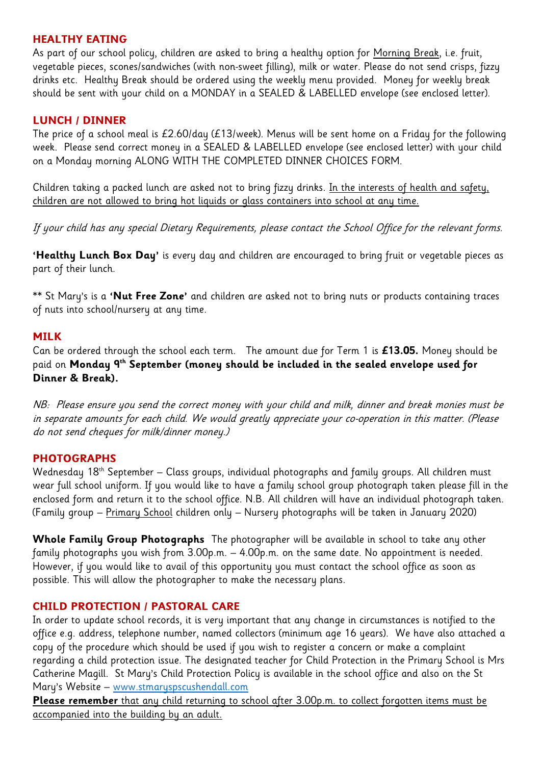# **HEALTHY EATING**

As part of our school policy, children are asked to bring a healthy option for <u>Morning Break,</u> i.e. fruit, vegetable pieces, scones/sandwiches (with non-sweet filling), milk or water. Please do not send crisps, fizzy drinks etc. Healthy Break should be ordered using the weekly menu provided. Money for weekly break should be sent with your child on a MONDAY in a SEALED & LABELLED envelope (see enclosed letter).

# **LUNCH / DINNER**

The price of a school meal is £2.60/day (£13/week). Menus will be sent home on a Friday for the following week. Please send correct money in a SEALED & LABELLED envelope (see enclosed letter) with your child on a Monday morning ALONG WITH THE COMPLETED DINNER CHOICES FORM.

Children taking a packed lunch are asked not to bring fizzy drinks. In the interests of health and safety, children are not allowed to bring hot liquids or glass containers into school at any time.

If your child has any special Dietary Requirements, please contact the School Office for the relevant forms.

**'Healthy Lunch Box Day'** is every day and children are encouraged to bring fruit or vegetable pieces as part of their lunch.

\*\* St Mary's is a **'Nut Free Zone'** and children are asked not to bring nuts or products containing traces of nuts into school/nursery at any time.

# **MILK**

Can be ordered through the school each term. The amount due for Term 1 is **£13.05.** Money should be paid on **Monday 9th September (money should be included in the sealed envelope used for Dinner & Break).** 

NB: Please ensure you send the correct money with your child and milk, dinner and break monies must be in separate amounts for each child. We would greatly appreciate your co-operation in this matter. (Please do not send cheques for milk/dinner money.)

# **PHOTOGRAPHS**

Wednesday  $18<sup>th</sup>$  September – Class groups, individual photographs and family groups. All children must wear full school uniform. If you would like to have a family school group photograph taken please fill in the enclosed form and return it to the school office. N.B. All children will have an individual photograph taken. (Family group – Primary School children only – Nursery photographs will be taken in January 2020)

**Whole Family Group Photographs** The photographer will be available in school to take any other family photographs you wish from 3.00p.m. – 4.00p.m. on the same date. No appointment is needed. However, if you would like to avail of this opportunity you must contact the school office as soon as possible. This will allow the photographer to make the necessary plans.

# **CHILD PROTECTION / PASTORAL CARE**

In order to update school records, it is very important that any change in circumstances is notified to the office e.g. address, telephone number, named collectors (minimum age 16 years). We have also attached a copy of the procedure which should be used if you wish to register a concern or make a complaint regarding a child protection issue. The designated teacher for Child Protection in the Primary School is Mrs Catherine Magill. St Mary's Child Protection Policy is available in the school office and also on the St Mary's Website – [www.stmaryspscushendall.com](http://www.stmaryspscushendall.com/)

**Please remember** that any child returning to school after 3.00p.m. to collect forgotten items must be accompanied into the building by an adult.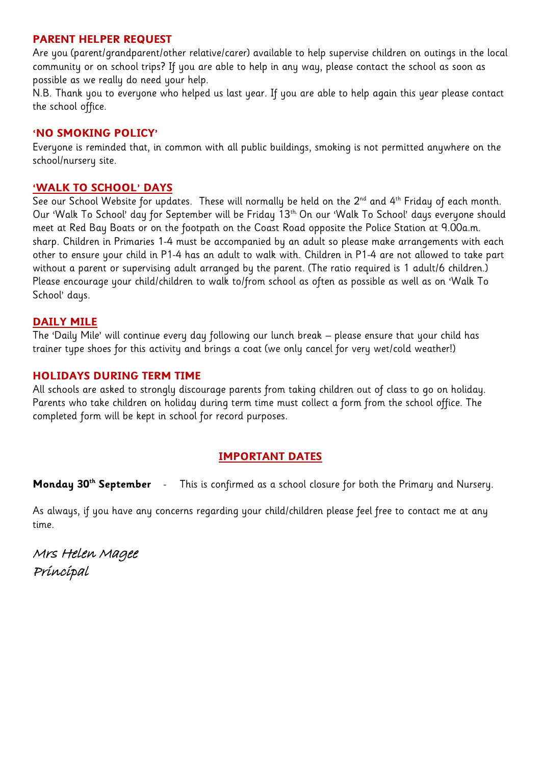#### **PARENT HELPER REQUEST**

Are you (parent/grandparent/other relative/carer) available to help supervise children on outings in the local community or on school trips? If you are able to help in any way, please contact the school as soon as possible as we really do need your help.

N.B. Thank you to everyone who helped us last year. If you are able to help again this year please contact the school office.

### **'NO SMOKING POLICY'**

Everyone is reminded that, in common with all public buildings, smoking is not permitted anywhere on the school/nursery site.

### **'WALK TO SCHOOL' DAYS**

See our School Website for updates. These will normally be held on the 2<sup>nd</sup> and 4<sup>th</sup> Friday of each month. Our 'Walk To School' day for September will be Friday 13<sup>th.</sup> On our 'Walk To School' days everyone should meet at Red Bay Boats or on the footpath on the Coast Road opposite the Police Station at 9.00a.m. sharp. Children in Primaries 1-4 must be accompanied by an adult so please make arrangements with each other to ensure your child in P1-4 has an adult to walk with. Children in P1-4 are not allowed to take part without a parent or supervising adult arranged by the parent. (The ratio required is 1 adult/6 children.) Please encourage your child/children to walk to/from school as often as possible as well as on 'Walk To School' days.

# **DAILY MILE**

The 'Daily Mile' will continue every day following our lunch break – please ensure that your child has trainer type shoes for this activity and brings a coat (we only cancel for very wet/cold weather!)

#### **HOLIDAYS DURING TERM TIME**

All schools are asked to strongly discourage parents from taking children out of class to go on holiday. Parents who take children on holiday during term time must collect a form from the school office. The completed form will be kept in school for record purposes.

# **IMPORTANT DATES**

**Monday 30th September** - This is confirmed as a school closure for both the Primary and Nursery.

As always, if you have any concerns regarding your child/children please feel free to contact me at any time.

Mrs Helen Magee Principal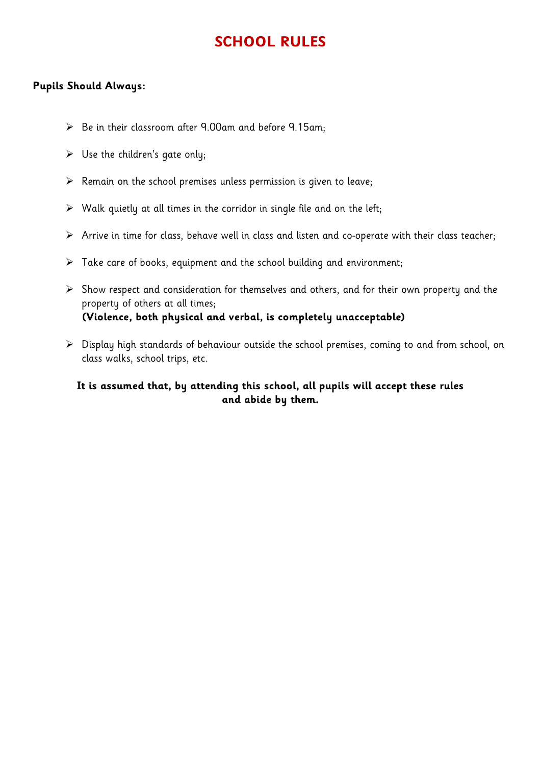# **SCHOOL RULES**

#### **Pupils Should Always:**

- $\triangleright$  Be in their classroom after 9.00am and before 9.15am;
- $\triangleright$  Use the children's gate only;
- $\triangleright$  Remain on the school premises unless permission is given to leave;
- $\triangleright$  Walk quietly at all times in the corridor in single file and on the left;
- $\triangleright$  Arrive in time for class, behave well in class and listen and co-operate with their class teacher;
- $\triangleright$  Take care of books, equipment and the school building and environment;
- $\triangleright$  Show respect and consideration for themselves and others, and for their own property and the property of others at all times;  **(Violence, both physical and verbal, is completely unacceptable)**
- Display high standards of behaviour outside the school premises, coming to and from school, on class walks, school trips, etc.

# **It is assumed that, by attending this school, all pupils will accept these rules and abide by them.**